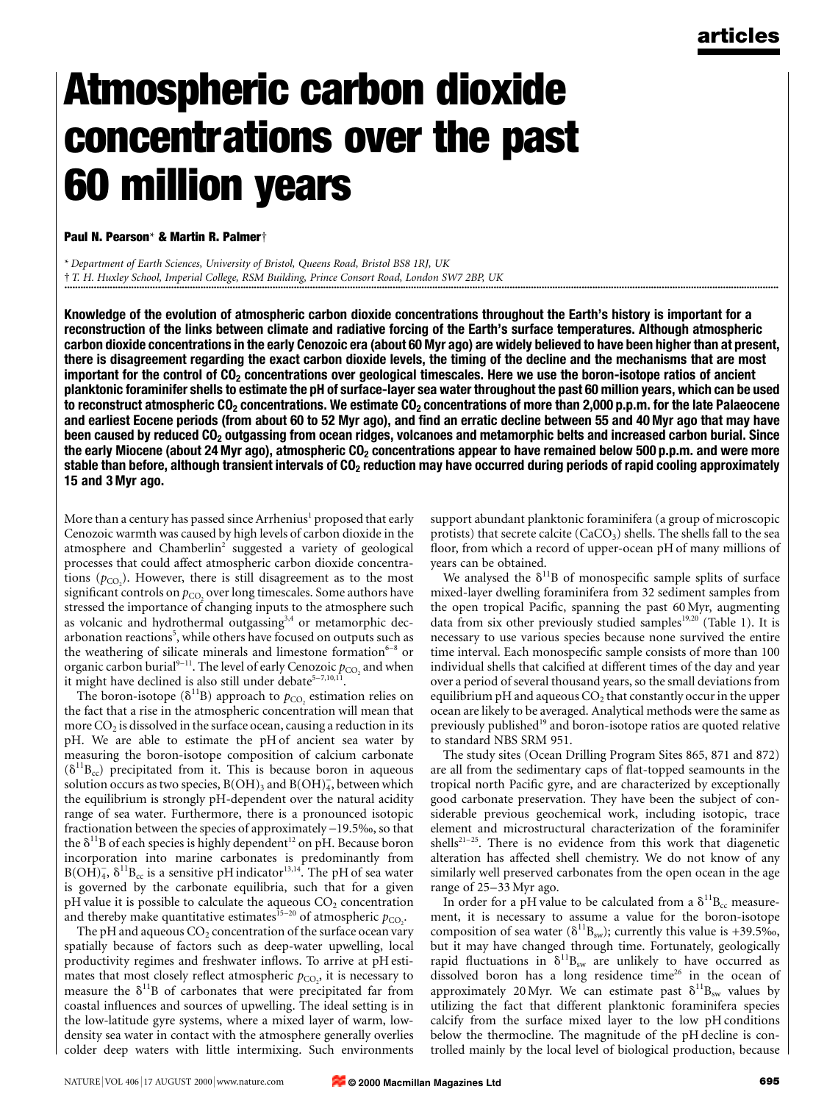# Atmospheric carbon dioxide concentrations over the past 60 million years

#### Paul N. Pearson\* & Martin R. Palmer†

\* Department of Earth Sciences, University of Bristol, Queens Road, Bristol BS8 1RJ, UK ² T. H. Huxley School, Imperial College, RSM Building, Prince Consort Road, London SW7 2BP, UK ............................................................................................................................................................................................................................................................................

Knowledge of the evolution of atmospheric carbon dioxide concentrations throughout the Earth's history is important for a reconstruction of the links between climate and radiative forcing of the Earth's surface temperatures. Although atmospheric carbon dioxide concentrations in the early Cenozoic era (about 60 Myr ago) are widely believed to have been higher than at present, there is disagreement regarding the exact carbon dioxide levels, the timing of the decline and the mechanisms that are most important for the control of  $CO<sub>2</sub>$  concentrations over geological timescales. Here we use the boron-isotope ratios of ancient planktonic foraminifer shells to estimate the pH of surface-layer sea water throughout the past 60 million years, which can be used to reconstruct atmospheric  $CO<sub>2</sub>$  concentrations. We estimate  $CO<sub>2</sub>$  concentrations of more than 2,000 p.p.m. for the late Palaeocene and earliest Eocene periods (from about 60 to 52 Myr ago), and find an erratic decline between 55 and 40 Myr ago that may have been caused by reduced  $CO<sub>2</sub>$  outgassing from ocean ridges, volcanoes and metamorphic belts and increased carbon burial. Since the early Miocene (about 24 Myr ago), atmospheric  $CO<sub>2</sub>$  concentrations appear to have remained below 500 p.p.m. and were more stable than before, although transient intervals of CO<sub>2</sub> reduction may have occurred during periods of rapid cooling approximately 15 and 3 Myr ago.

More than a century has passed since Arrhenius<sup>1</sup> proposed that early Cenozoic warmth was caused by high levels of carbon dioxide in the atmosphere and Chamberlin<sup>2</sup> suggested a variety of geological processes that could affect atmospheric carbon dioxide concentrations  $(p_{CO_2})$ . However, there is still disagreement as to the most significant controls on  $p_{CO}$ , over long timescales. Some authors have stressed the importance of changing inputs to the atmosphere such as volcanic and hydrothermal outgassing<sup>3,4</sup> or metamorphic decarbonation reactions<sup>5</sup>, while others have focused on outputs such as the weathering of silicate minerals and limestone formation $6-8$  or organic carbon burial<sup>9-11</sup>. The level of early Cenozoic  $p_{CO}$  and when it might have declined is also still under debate<sup>5-7,10,11</sup>

The boron-isotope ( $\delta^{11}B$ ) approach to  $p_{CO}$ , estimation relies on the fact that a rise in the atmospheric concentration will mean that more  $CO<sub>2</sub>$  is dissolved in the surface ocean, causing a reduction in its pH. We are able to estimate the pH of ancient sea water by measuring the boron-isotope composition of calcium carbonate  $(\delta^{11}B_{cc})$  precipitated from it. This is because boron in aqueous solution occurs as two species,  $B(OH)_3$  and  $B(OH)_4$ , between which the equilibrium is strongly pH-dependent over the natural acidity range of sea water. Furthermore, there is a pronounced isotopic fractionation between the species of approximately  $-19.5%$ , so that the  $\delta^{11}$ B of each species is highly dependent<sup>12</sup> on pH. Because boron incorporation into marine carbonates is predominantly from  $B(OH)_4^-$ ,  $\delta^{11}B_{cc}$  is a sensitive pH indicator<sup>13,14</sup>. The pH of sea water is governed by the carbonate equilibria, such that for a given  $pH$  value it is possible to calculate the aqueous  $CO<sub>2</sub>$  concentration and thereby make quantitative estimates<sup>15-20</sup> of atmospheric  $p_{CO_2}$ .

The pH and aqueous  $CO<sub>2</sub>$  concentration of the surface ocean vary spatially because of factors such as deep-water upwelling, local productivity regimes and freshwater inflows. To arrive at pH estimates that most closely reflect atmospheric  $p_{CO_2}$ , it is necessary to measure the  $\delta^{11}B$  of carbonates that were precipitated far from coastal influences and sources of upwelling. The ideal setting is in the low-latitude gyre systems, where a mixed layer of warm, lowdensity sea water in contact with the atmosphere generally overlies colder deep waters with little intermixing. Such environments

support abundant planktonic foraminifera (a group of microscopic protists) that secrete calcite ( $CaCO<sub>3</sub>$ ) shells. The shells fall to the sea floor, from which a record of upper-ocean pH of many millions of years can be obtained.

We analysed the  $\delta^{11}B$  of monospecific sample splits of surface mixed-layer dwelling foraminifera from 32 sediment samples from the open tropical Pacific, spanning the past 60 Myr, augmenting data from six other previously studied samples<sup>19,20</sup> (Table 1). It is necessary to use various species because none survived the entire time interval. Each monospecific sample consists of more than 100 individual shells that calcified at different times of the day and year over a period of several thousand years, so the small deviations from equilibrium pH and aqueous  $CO<sub>2</sub>$  that constantly occur in the upper ocean are likely to be averaged. Analytical methods were the same as previously published<sup>19</sup> and boron-isotope ratios are quoted relative to standard NBS SRM 951.

The study sites (Ocean Drilling Program Sites 865, 871 and 872) are all from the sedimentary caps of flat-topped seamounts in the tropical north Pacific gyre, and are characterized by exceptionally good carbonate preservation. They have been the subject of considerable previous geochemical work, including isotopic, trace element and microstructural characterization of the foraminifer shells<sup>21-25</sup>. There is no evidence from this work that diagenetic alteration has affected shell chemistry. We do not know of any similarly well preserved carbonates from the open ocean in the age range of 25-33 Myr ago.

In order for a pH value to be calculated from a  $\delta^{11}B_{cc}$  measurement, it is necessary to assume a value for the boron-isotope composition of sea water ( $\delta^{11}B_{sw}$ ); currently this value is +39.5‰, but it may have changed through time. Fortunately, geologically rapid fluctuations in  $\delta^{11}B_{sw}$  are unlikely to have occurred as dissolved boron has a long residence time<sup>26</sup> in the ocean of approximately 20 Myr. We can estimate past  $\delta^{11}B_{sw}$  values by utilizing the fact that different planktonic foraminifera species calcify from the surface mixed layer to the low pH conditions below the thermocline. The magnitude of the pH decline is controlled mainly by the local level of biological production, because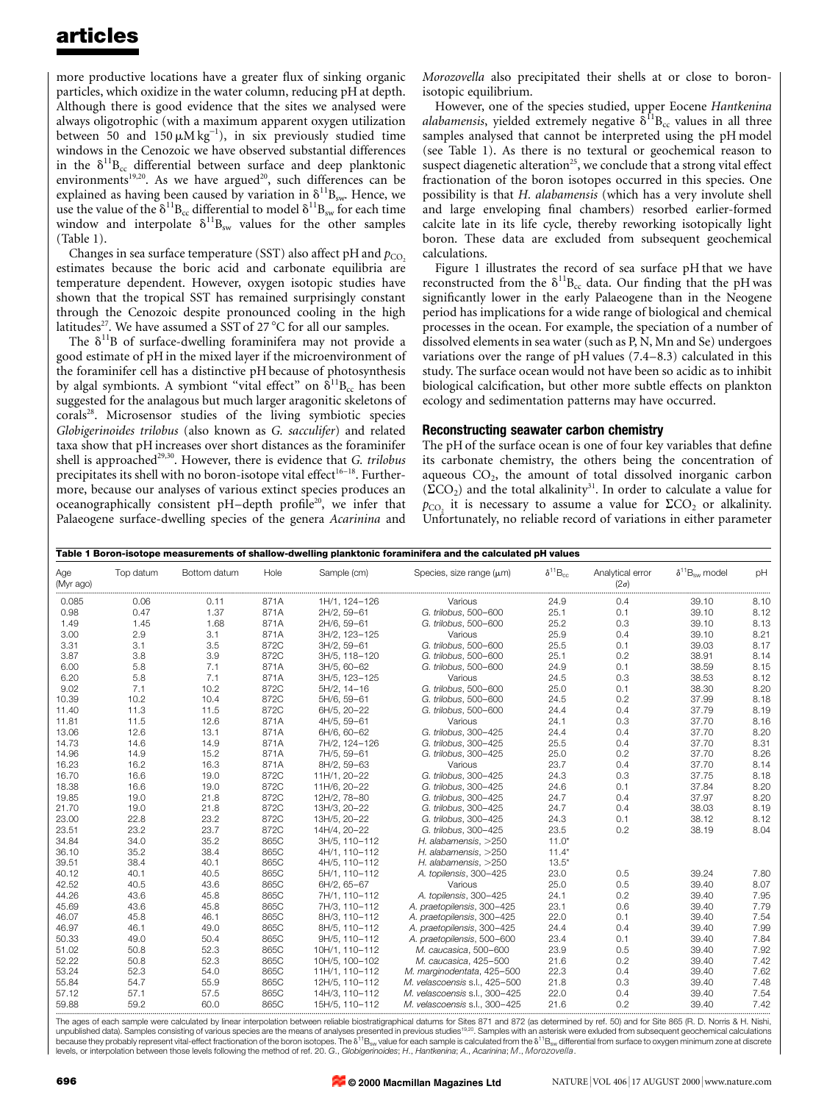## articles

more productive locations have a greater flux of sinking organic particles, which oxidize in the water column, reducing pH at depth. Although there is good evidence that the sites we analysed were always oligotrophic (with a maximum apparent oxygen utilization between 50 and  $150 \mu M kg^{-1}$ ), in six previously studied time windows in the Cenozoic we have observed substantial differences in the  $\delta^{11}B_{cc}$  differential between surface and deep planktonic environments<sup>19,20</sup>. As we have argued<sup>20</sup>, such differences can be explained as having been caused by variation in  $\delta^{11}B_{sw}$ . Hence, we use the value of the  $\delta^{11}B_{cc}$  differential to model  $\delta^{11}B_{sw}$  for each time window and interpolate  $\delta^{11}B_{sw}$  values for the other samples (Table 1).

Changes in sea surface temperature (SST) also affect pH and  $p_{CO_2}$ estimates because the boric acid and carbonate equilibria are temperature dependent. However, oxygen isotopic studies have shown that the tropical SST has remained surprisingly constant through the Cenozoic despite pronounced cooling in the high latitudes<sup>27</sup>. We have assumed a SST of  $27^{\circ}$ C for all our samples.

The  $\delta^{11}B$  of surface-dwelling foraminifera may not provide a good estimate of pH in the mixed layer if the microenvironment of the foraminifer cell has a distinctive pH because of photosynthesis by algal symbionts. A symbiont "vital effect" on  $\delta^{11}B_{cc}$  has been suggested for the analagous but much larger aragonitic skeletons of corals<sup>28</sup>. Microsensor studies of the living symbiotic species Globigerinoides trilobus (also known as G. sacculifer) and related taxa show that pH increases over short distances as the foraminifer shell is approached<sup>29,30</sup>. However, there is evidence that G. trilobus precipitates its shell with no boron-isotope vital effect<sup>16-18</sup>. Furthermore, because our analyses of various extinct species produces an oceanographically consistent pH-depth profile<sup>20</sup>, we infer that Palaeogene surface-dwelling species of the genera Acarinina and

Morozovella also precipitated their shells at or close to boronisotopic equilibrium.

However, one of the species studied, upper Eocene Hantkenina *alabamensis*, yielded extremely negative  $\delta^{11}B_{cc}$  values in all three samples analysed that cannot be interpreted using the pH model (see Table 1). As there is no textural or geochemical reason to suspect diagenetic alteration<sup>25</sup>, we conclude that a strong vital effect fractionation of the boron isotopes occurred in this species. One possibility is that H. alabamensis (which has a very involute shell and large enveloping final chambers) resorbed earlier-formed calcite late in its life cycle, thereby reworking isotopically light boron. These data are excluded from subsequent geochemical calculations.

Figure 1 illustrates the record of sea surface pH that we have reconstructed from the  $\delta^{11}B_{cc}$  data. Our finding that the pH was significantly lower in the early Palaeogene than in the Neogene period has implications for a wide range of biological and chemical processes in the ocean. For example, the speciation of a number of dissolved elements in sea water (such as P, N, Mn and Se) undergoes variations over the range of  $pH$  values  $(7.4–8.3)$  calculated in this study. The surface ocean would not have been so acidic as to inhibit biological calcification, but other more subtle effects on plankton ecology and sedimentation patterns may have occurred.

### Reconstructing seawater carbon chemistry

The pH of the surface ocean is one of four key variables that define its carbonate chemistry, the others being the concentration of aqueous  $CO<sub>2</sub>$ , the amount of total dissolved inorganic carbon  $(\Sigma CO_2)$  and the total alkalinity<sup>31</sup>. In order to calculate a value for  $p_{\text{CO}_2}$  it is necessary to assume a value for  $\Sigma$ CO<sub>2</sub> or alkalinity. Unfortunately, no reliable record of variations in either parameter

| Table 1 Boron-isotope measurements of shallow-dwelling planktonic foraminifera and the calculated pH values |           |              |      |                |                               |                     |                                 |                               |      |
|-------------------------------------------------------------------------------------------------------------|-----------|--------------|------|----------------|-------------------------------|---------------------|---------------------------------|-------------------------------|------|
| Age<br>(Myr ago)                                                                                            | Top datum | Bottom datum | Hole | Sample (cm)    | Species, size range $(\mu m)$ | $\delta^{11}B_{cc}$ | Analytical error<br>$(2\sigma)$ | $\delta^{11}B_{\rm sw}$ model | pH   |
| 0.085                                                                                                       | 0.06      | 0.11         | 871A | 1H/1, 124-126  | Various                       | 24.9                | 0.4                             | 39.10                         | 8.10 |
| 0.98                                                                                                        | 0.47      | 1.37         | 871A | 2H/2, 59-61    | G. trilobus, 500-600          | 25.1                | 0.1                             | 39.10                         | 8.12 |
| 1.49                                                                                                        | 1.45      | 1.68         | 871A | 2H/6, 59-61    | G. trilobus, 500-600          | 25.2                | 0.3                             | 39.10                         | 8.13 |
| 3.00                                                                                                        | 2.9       | 3.1          | 871A | 3H/2, 123-125  | Various                       | 25.9                | 0.4                             | 39.10                         | 8.21 |
| 3.31                                                                                                        | 3.1       | 3.5          | 872C | 3H/2, 59-61    | G. trilobus, 500-600          | 25.5                | 0.1                             | 39.03                         | 8.17 |
| 3.87                                                                                                        | 3.8       | 3.9          | 872C | 3H/5, 118-120  | G. trilobus, 500-600          | 25.1                | 0.2                             | 38.91                         | 8.14 |
| 6.00                                                                                                        | 5.8       | 7.1          | 871A | 3H/5, 60-62    | G. trilobus, 500-600          | 24.9                | 0.1                             | 38.59                         | 8.15 |
| 6.20                                                                                                        | 5.8       | 7.1          | 871A | 3H/5, 123-125  | Various                       | 24.5                | 0.3                             | 38.53                         | 8.12 |
| 9.02                                                                                                        | 7.1       | 10.2         | 872C | $5H/2, 14-16$  | G. trilobus, 500-600          | 25.0                | 0.1                             | 38.30                         | 8.20 |
| 10.39                                                                                                       | 10.2      | 10.4         | 872C | 5H/6, 59-61    | G. trilobus, 500-600          | 24.5                | 0.2                             | 37.99                         | 8.18 |
| 11.40                                                                                                       | 11.3      | 11.5         | 872C | 6H/5, 20-22    | G. trilobus, 500-600          | 24.4                | 0.4                             | 37.79                         | 8.19 |
| 11.81                                                                                                       | 11.5      | 12.6         | 871A | 4H/5, 59-61    | Various                       | 24.1                | 0.3                             | 37.70                         | 8.16 |
| 13.06                                                                                                       | 12.6      | 13.1         | 871A | 6H/6, 60-62    | G. trilobus, 300-425          | 24.4                | 0.4                             | 37.70                         | 8.20 |
| 14.73                                                                                                       | 14.6      | 14.9         | 871A | 7H/2, 124-126  | G. trilobus, 300-425          | 25.5                | 0.4                             | 37.70                         | 8.31 |
| 14.96                                                                                                       | 14.9      | 15.2         | 871A | 7H/5, 59-61    | G. trilobus, 300-425          | 25.0                | 0.2                             | 37.70                         | 8.26 |
| 16.23                                                                                                       | 16.2      | 16.3         | 871A | 8H/2, 59-63    | Various                       | 23.7                | 0.4                             | 37.70                         | 8.14 |
| 16.70                                                                                                       | 16.6      | 19.0         | 872C | 11H/1, 20-22   | G. trilobus, 300-425          | 24.3                | 0.3                             | 37.75                         | 8.18 |
| 18.38                                                                                                       | 16.6      | 19.0         | 872C | 11H/6, 20-22   | G. trilobus, 300-425          | 24.6                | 0.1                             | 37.84                         | 8.20 |
| 19.85                                                                                                       | 19.0      | 21.8         | 872C | 12H/2, 78-80   | G. trilobus, 300-425          | 24.7                | 0.4                             | 37.97                         | 8.20 |
| 21.70                                                                                                       | 19.0      | 21.8         | 872C | 13H/3, 20-22   | G. trilobus, 300-425          | 24.7                | 0.4                             | 38.03                         | 8.19 |
| 23.00                                                                                                       | 22.8      | 23.2         | 872C | 13H/5, 20-22   | G. trilobus, 300-425          | 24.3                | 0.1                             | 38.12                         | 8.12 |
| 23.51                                                                                                       | 23.2      | 23.7         | 872C | 14H/4, 20-22   | G. trilobus, 300-425          | 23.5                | 0.2                             | 38.19                         | 8.04 |
| 34.84                                                                                                       | 34.0      | 35.2         | 865C | 3H/5, 110-112  | H. alabamensis, >250          | $11.0*$             |                                 |                               |      |
| 36.10                                                                                                       | 35.2      | 38.4         | 865C | 4H/1.110-112   | H. alabamensis, >250          | $11.4*$             |                                 |                               |      |
| 39.51                                                                                                       | 38.4      | 40.1         | 865C | 4H/5.110-112   | H. alabamensis, >250          | $13.5*$             |                                 |                               |      |
| 40.12                                                                                                       | 40.1      | 40.5         | 865C | 5H/1, 110-112  | A. topilensis, 300-425        | 23.0                | 0.5                             | 39.24                         | 7.80 |
| 42.52                                                                                                       | 40.5      | 43.6         | 865C | 6H/2, 65-67    | Various                       | 25.0                | 0.5                             | 39.40                         | 8.07 |
| 44.26                                                                                                       | 43.6      | 45.8         | 865C | 7H/1, 110-112  | A. topilensis, 300-425        | 24.1                | 0.2                             | 39.40                         | 7.95 |
| 45.69                                                                                                       | 43.6      | 45.8         | 865C | 7H/3, 110-112  | A. praetopilensis, 300-425    | 23.1                | 0.6                             | 39.40                         | 7.79 |
| 46.07                                                                                                       | 45.8      | 46.1         | 865C | 8H/3, 110-112  | A. praetopilensis, 300-425    | 22.0                | 0.1                             | 39.40                         | 7.54 |
| 46.97                                                                                                       | 46.1      | 49.0         | 865C | 8H/5, 110-112  | A. praetopilensis, 300-425    | 24.4                | 0.4                             | 39.40                         | 7.99 |
| 50.33                                                                                                       | 49.0      | 50.4         | 865C | 9H/5, 110-112  | A. praetopilensis, 500-600    | 23.4                | 0.1                             | 39.40                         | 7.84 |
| 51.02                                                                                                       | 50.8      | 52.3         | 865C | 10H/1, 110-112 | M. caucasica, 500-600         | 23.9                | 0.5                             | 39.40                         | 7.92 |
| 52.22                                                                                                       | 50.8      | 52.3         | 865C | 10H/5, 100-102 | M. caucasica, 425-500         | 21.6                | 0.2                             | 39.40                         | 7.42 |
| 53.24                                                                                                       | 52.3      | 54.0         | 865C | 11H/1, 110-112 | M. marginodentata, 425-500    | 22.3                | 0.4                             | 39.40                         | 7.62 |
| 55.84                                                                                                       | 54.7      | 55.9         | 865C | 12H/5, 110-112 | M. velascoensis s.l., 425-500 | 21.8                | 0.3                             | 39.40                         | 7.48 |
| 57.12                                                                                                       | 57.1      | 57.5         | 865C | 14H/3, 110-112 | M. velascoensis s.l., 300-425 | 22.0                | 0.4                             | 39.40                         | 7.54 |
| 59.88                                                                                                       | 59.2      | 60.0         | 865C | 15H/5, 110-112 | M. velascoensis s.l., 300-425 | 21.6                | 0.2                             | 39.40                         | 7.42 |

The ages of each sample were calculated by linear interpolation between reliable biostratigraphical datums for Sites 871 and 872 (as determined by ref. 50) and for Site 865 (R. D. Norris & H. Nishi, unpublished data). Samples consisting of various species are the means of analyses presented in previous studies<sup>19.20</sup>. Samples with an asterisk were exluded from subsequent geochemical calculations<br>because they probably levels, or interpolation between those levels following the method of ref. 20. G., Globigerinoides; H., Hantkenina; A., Acarinina; M., Morozovella.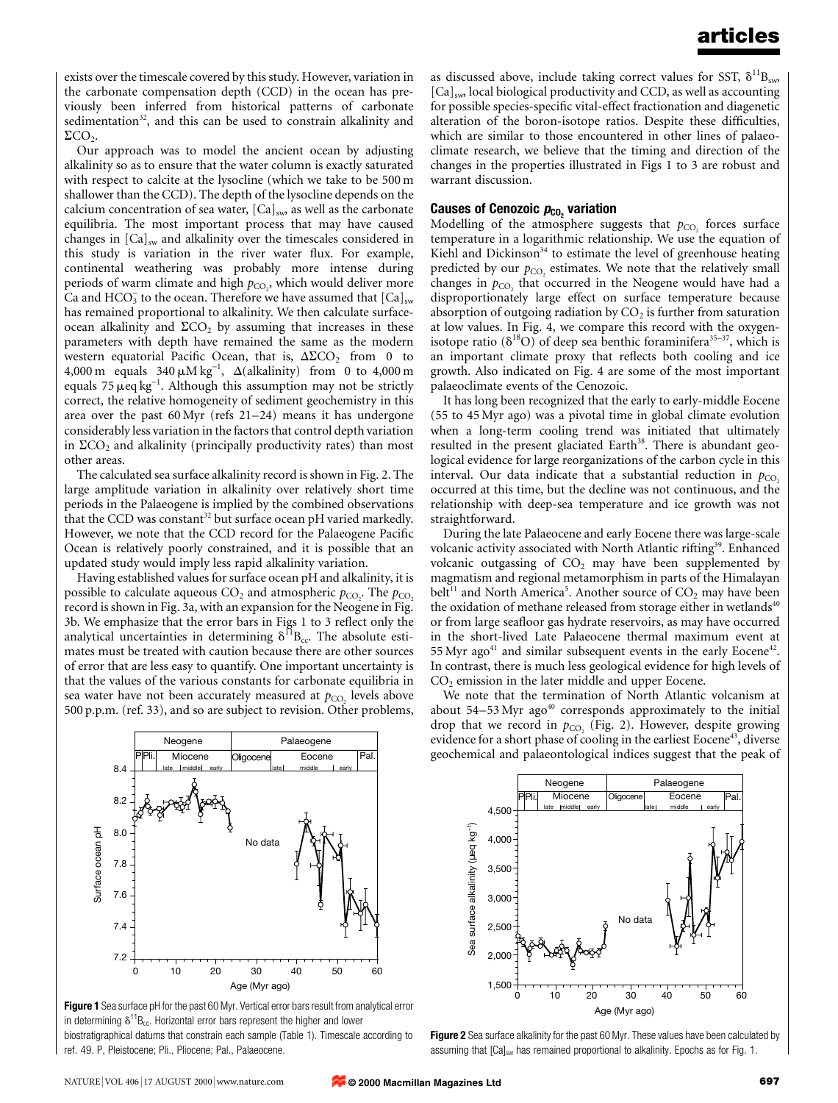exists over the timescale covered by this study. However, variation in the carbonate compensation depth (CCD) in the ocean has previously been inferred from historical patterns of carbonate sedimentation $32$ , and this can be used to constrain alkalinity and  $\Sigma$ CO<sub>2</sub>.

Our approach was to model the ancient ocean by adjusting alkalinity so as to ensure that the water column is exactly saturated with respect to calcite at the lysocline (which we take to be 500 m shallower than the CCD). The depth of the lysocline depends on the calcium concentration of sea water,  $[Ca]_{sw}$  as well as the carbonate equilibria. The most important process that may have caused changes in  $[Ca]_{sw}$  and alkalinity over the timescales considered in this study is variation in the river water flux. For example, continental weathering was probably more intense during periods of warm climate and high  $p_{\text{CO}_2}$ , which would deliver more Ca and  $HCO_3^-$  to the ocean. Therefore we have assumed that  $[Ca]_{sw}$ has remained proportional to alkalinity. We then calculate surfaceocean alkalinity and  $\Sigma$ CO<sub>2</sub> by assuming that increases in these parameters with depth have remained the same as the modern western equatorial Pacific Ocean, that is,  $\Delta \Sigma$ CO<sub>2</sub> from 0 to 4,000 m equals  $340 \mu M kg^{-1}$ ,  $\Delta$ (alkalinity) from 0 to 4,000 m equals  $75 \mu$ eq kg<sup>-1</sup>. Although this assumption may not be strictly correct, the relative homogeneity of sediment geochemistry in this area over the past  $60$  Myr (refs  $21-24$ ) means it has undergone considerably less variation in the factors that control depth variation in  $\Sigma$ CO<sub>2</sub> and alkalinity (principally productivity rates) than most other areas.

The calculated sea surface alkalinity record is shown in Fig. 2. The large amplitude variation in alkalinity over relatively short time periods in the Palaeogene is implied by the combined observations that the CCD was constant<sup>32</sup> but surface ocean pH varied markedly. However, we note that the CCD record for the Palaeogene Pacific Ocean is relatively poorly constrained, and it is possible that an updated study would imply less rapid alkalinity variation.

Having established values for surface ocean pH and alkalinity, it is possible to calculate aqueous  $CO_2$  and atmospheric  $p_{CO_2}$ . The  $p_{CO_2}$ record is shown in Fig. 3a, with an expansion for the Neogene in Fig. 3b. We emphasize that the error bars in Figs 1 to 3 reflect only the analytical uncertainties in determining  $\delta^{11}B_{cc}$ . The absolute estimates must be treated with caution because there are other sources of error that are less easy to quantify. One important uncertainty is that the values of the various constants for carbonate equilibria in sea water have not been accurately measured at  $p_{CO}$ , levels above 500 p.p.m. (ref. 33), and so are subject to revision. Other problems,

Neogene | Palaeogene

as discussed above, include taking correct values for SST,  $\delta^{11}B_{sw}$ [Ca]<sub>sw</sub>, local biological productivity and CCD, as well as accounting for possible species-specific vital-effect fractionation and diagenetic alteration of the boron-isotope ratios. Despite these difficulties, which are similar to those encountered in other lines of palaeoclimate research, we believe that the timing and direction of the changes in the properties illustrated in Figs 1 to 3 are robust and warrant discussion.

### Causes of Cenozoic  $p_{\text{co}_2}$  variation

Modelling of the atmosphere suggests that  $p_{CO}$  forces surface temperature in a logarithmic relationship. We use the equation of Kiehl and Dickinson $34$  to estimate the level of greenhouse heating predicted by our  $p_{CO}$ , estimates. We note that the relatively small changes in  $p_{CO_2}$  that occurred in the Neogene would have had a disproportionately large effect on surface temperature because absorption of outgoing radiation by  $CO<sub>2</sub>$  is further from saturation at low values. In Fig. 4, we compare this record with the oxygenisotope ratio ( $\delta^{18}O$ ) of deep sea benthic foraminifera<sup>35=37</sup>, which is an important climate proxy that reflects both cooling and ice growth. Also indicated on Fig. 4 are some of the most important palaeoclimate events of the Cenozoic.

It has long been recognized that the early to early-middle Eocene (55 to 45 Myr ago) was a pivotal time in global climate evolution when a long-term cooling trend was initiated that ultimately resulted in the present glaciated Earth<sup>38</sup>. There is abundant geological evidence for large reorganizations of the carbon cycle in this interval. Our data indicate that a substantial reduction in  $p_{CO}$ . occurred at this time, but the decline was not continuous, and the relationship with deep-sea temperature and ice growth was not straightforward.

During the late Palaeocene and early Eocene there was large-scale volcanic activity associated with North Atlantic rifting<sup>39</sup>. Enhanced volcanic outgassing of  $CO<sub>2</sub>$  may have been supplemented by magmatism and regional metamorphism in parts of the Himalayan belt<sup>11</sup> and North America<sup>5</sup>. Another source of  $CO_2$  may have been the oxidation of methane released from storage either in wetlands<sup>40</sup> or from large seafloor gas hydrate reservoirs, as may have occurred in the short-lived Late Palaeocene thermal maximum event at 55 Myr ago $41$  and similar subsequent events in the early Eocene $42$ . In contrast, there is much less geological evidence for high levels of CO2 emission in the later middle and upper Eocene.

We note that the termination of North Atlantic volcanism at about 54-53 Myr ago<sup>40</sup> corresponds approximately to the initial drop that we record in  $p_{CO}$  (Fig. 2). However, despite growing evidence for a short phase of cooling in the earliest Eocene<sup>43</sup>, diverse geochemical and palaeontological indices suggest that the peak of



in determining  $\delta^{11}B_{cc}$ . Horizontal error bars represent the higher and lower

0 10 20 30 40 50 60 Age (Myr ago)

**© 2000 Macmillan Magazines Ltd**

Figure 1 Sea surface pH for the past 60 Myr. Vertical error bars result from analytical error

No data

Miocene Oligocene Eocene Pal. late middle early I late middle early

7.2

7.4

7.6

7.8

Surface ocean pH

Surface ocean ph

8.0

8.2

8.4





Figure 2 Sea surface alkalinity for the past 60 Myr. These values have been calculated by assuming that  $[Cal<sub>sw</sub>$  has remained proportional to alkalinity. Epochs as for Fig. 1.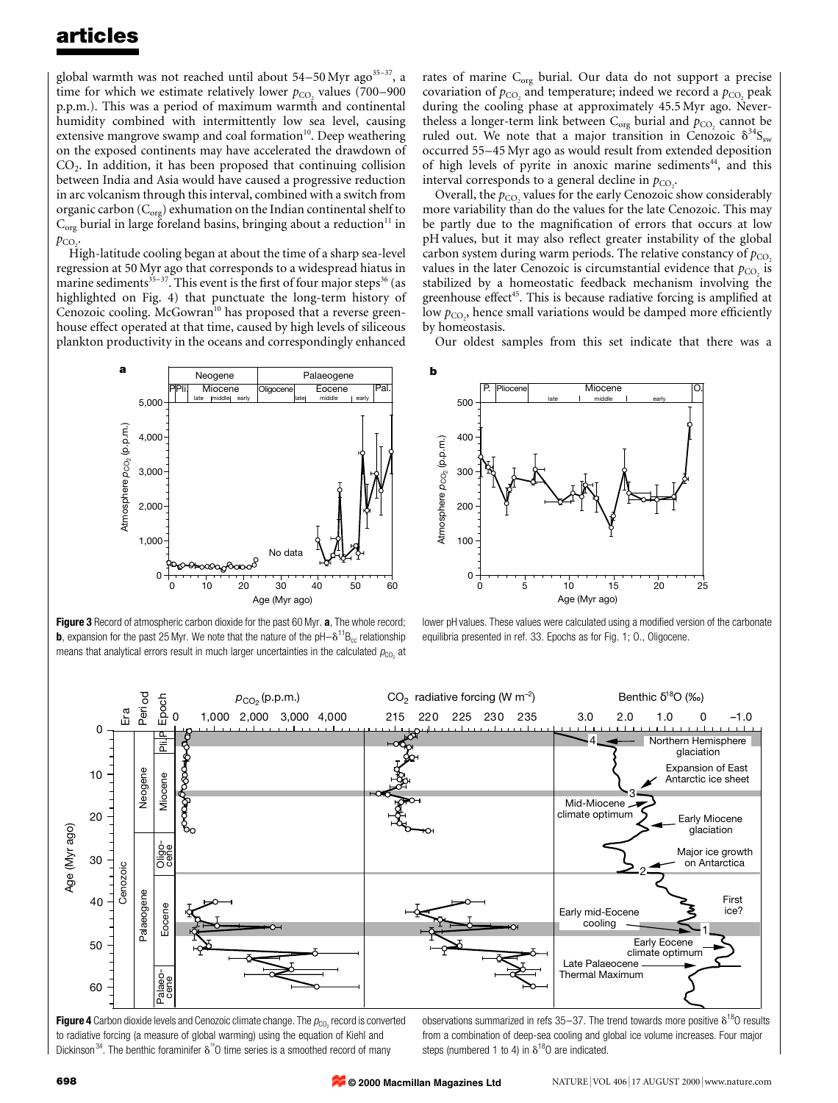## articles

global warmth was not reached until about  $54-50$  Myr ago<sup>35-37</sup>, a time for which we estimate relatively lower  $p_{CO}$ , values (700–900 p.p.m.). This was a period of maximum warmth and continental humidity combined with intermittently low sea level, causing extensive mangrove swamp and coal formation $10$ . Deep weathering on the exposed continents may have accelerated the drawdown of  $CO<sub>2</sub>$ . In addition, it has been proposed that continuing collision between India and Asia would have caused a progressive reduction in arc volcanism through this interval, combined with a switch from organic carbon  $(C_{org})$  exhumation on the Indian continental shelf to  $C_{org}$  burial in large foreland basins, bringing about a reduction<sup>11</sup> in  $p_{CO}$ .

High-latitude cooling began at about the time of a sharp sea-level regression at 50 Myr ago that corresponds to a widespread hiatus in marine sediments $35-37$ . This event is the first of four major steps $36$  (as highlighted on Fig. 4) that punctuate the long-term history of Cenozoic cooling. McGowran<sup>10</sup> has proposed that a reverse greenhouse effect operated at that time, caused by high levels of siliceous plankton productivity in the oceans and correspondingly enhanced

rates of marine  $C_{org}$  burial. Our data do not support a precise covariation of  $p_{\text{CO}_2}$  and temperature; indeed we record a  $p_{\text{CO}_2}$  peak during the cooling phase at approximately 45.5 Myr ago. Nevertheless a longer-term link between  $C_{org}$  burial and  $p_{CO_2}$  cannot be ruled out. We note that a major transition in Cenozoic  $\delta^{34}S_{\scriptscriptstyle{\text{sw}}}$ occurred 55-45 Myr ago as would result from extended deposition of high levels of pyrite in anoxic marine sediments<sup>44</sup>, and this interval corresponds to a general decline in  $p_{CO_2}$ .

Overall, the  $p_{CO}$  values for the early Cenozoic show considerably more variability than do the values for the late Cenozoic. This may be partly due to the magnification of errors that occurs at low pH values, but it may also reflect greater instability of the global carbon system during warm periods. The relative constancy of  $p_{\text{CO}_2}$ values in the later Cenozoic is circumstantial evidence that  $p_{CO}$  is stabilized by a homeostatic feedback mechanism involving the greenhouse effect<sup>45</sup>. This is because radiative forcing is amplified at low  $p_{\mathrm{CO}_2}$ , hence small variations would be damped more efficiently by homeostasis.

Our oldest samples from this set indicate that there was a



Figure 3 Record of atmospheric carbon dioxide for the past 60 Myr. a, The whole record; **b**, expansion for the past 25 Myr. We note that the nature of the  $pH-\delta^{11}B_{cc}$  relationship means that analytical errors result in much larger uncertainties in the calculated  $p_{\text{CO}_2}$  at



lower pH values. These values were calculated using a modified version of the carbonate equilibria presented in ref. 33. Epochs as for Fig. 1; O., Oligocene.



**Figure 4** Carbon dioxide levels and Cenozoic climate change. The  $p_{CO_2}$  record is converted to radiative forcing (a measure of global warming) using the equation of Kiehl and Dickinson<sup>34</sup>. The benthic foraminifer  $\delta^{18}$ O time series is a smoothed record of many

observations summarized in refs 35-37. The trend towards more positive  $\delta^{18}$ O results from a combination of deep-sea cooling and global ice volume increases. Four major steps (numbered 1 to 4) in  $\delta^{18}$ O are indicated.